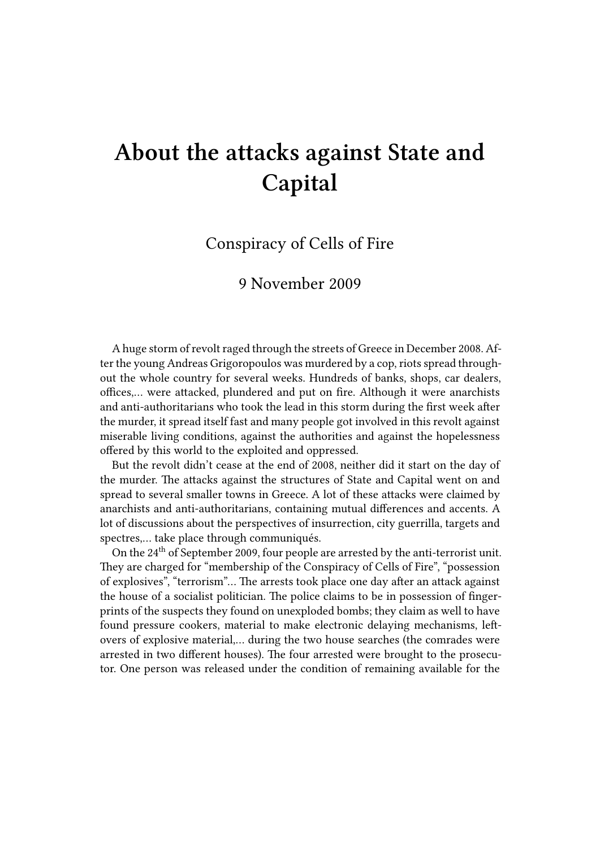## **About the attacks against State and Capital**

## Conspiracy of Cells of Fire

## 9 November 2009

A huge storm of revolt raged through the streets of Greece in December 2008. After the young Andreas Grigoropoulos was murdered by a cop, riots spread throughout the whole country for several weeks. Hundreds of banks, shops, car dealers, offices,… were attacked, plundered and put on fire. Although it were anarchists and anti-authoritarians who took the lead in this storm during the first week after the murder, it spread itself fast and many people got involved in this revolt against miserable living conditions, against the authorities and against the hopelessness offered by this world to the exploited and oppressed.

But the revolt didn't cease at the end of 2008, neither did it start on the day of the murder. The attacks against the structures of State and Capital went on and spread to several smaller towns in Greece. A lot of these attacks were claimed by anarchists and anti-authoritarians, containing mutual differences and accents. A lot of discussions about the perspectives of insurrection, city guerrilla, targets and spectres,… take place through communiqués.

On the 24th of September 2009, four people are arrested by the anti-terrorist unit. They are charged for "membership of the Conspiracy of Cells of Fire", "possession of explosives", "terrorism"… The arrests took place one day after an attack against the house of a socialist politician. The police claims to be in possession of fingerprints of the suspects they found on unexploded bombs; they claim as well to have found pressure cookers, material to make electronic delaying mechanisms, leftovers of explosive material,… during the two house searches (the comrades were arrested in two different houses). The four arrested were brought to the prosecutor. One person was released under the condition of remaining available for the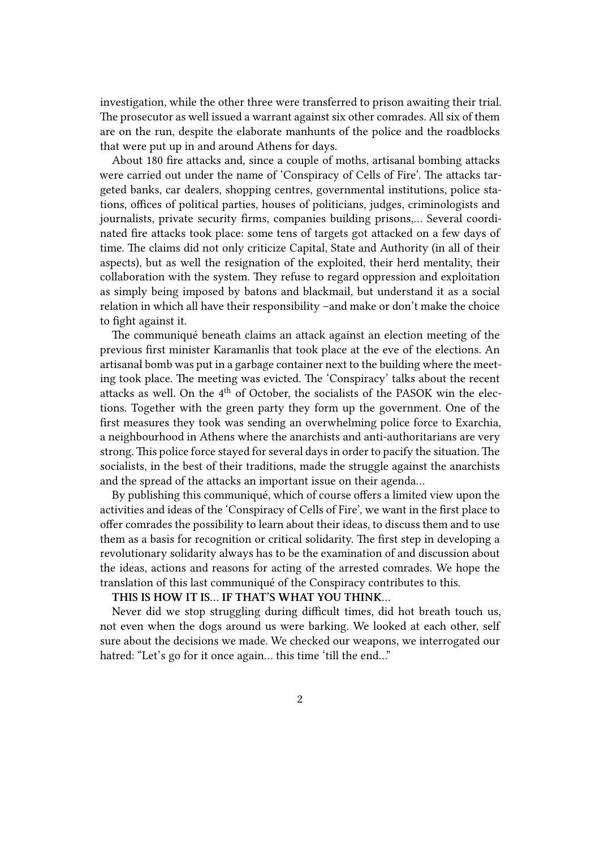investigation, while the other three were transferred to prison awaiting their trial. The prosecutor as well issued a warrant against six other comrades. All six of them are on the run, despite the elaborate manhunts of the police and the roadblocks that were put up in and around Athens for days.

About 180 fire attacks and, since a couple of moths, artisanal bombing attacks were carried out under the name of 'Conspiracy of Cells of Fire'. The attacks targeted banks, car dealers, shopping centres, governmental institutions, police stations, offices of political parties, houses of politicians, judges, criminologists and journalists, private security firms, companies building prisons,… Several coordinated fire attacks took place: some tens of targets got attacked on a few days of time. The claims did not only criticize Capital, State and Authority (in all of their aspects), but as well the resignation of the exploited, their herd mentality, their collaboration with the system. They refuse to regard oppression and exploitation as simply being imposed by batons and blackmail, but understand it as a social relation in which all have their responsibility –and make or don't make the choice to fight against it.

The communiqué beneath claims an attack against an election meeting of the previous first minister Karamanlis that took place at the eve of the elections. An artisanal bomb was put in a garbage container next to the building where the meeting took place. The meeting was evicted. The 'Conspiracy' talks about the recent attacks as well. On the  $4<sup>th</sup>$  of October, the socialists of the PASOK win the elections. Together with the green party they form up the government. One of the first measures they took was sending an overwhelming police force to Exarchia, a neighbourhood in Athens where the anarchists and anti-authoritarians are very strong. This police force stayed for several days in order to pacify the situation. The socialists, in the best of their traditions, made the struggle against the anarchists and the spread of the attacks an important issue on their agenda…

By publishing this communiqué, which of course offers a limited view upon the activities and ideas of the 'Conspiracy of Cells of Fire', we want in the first place to offer comrades the possibility to learn about their ideas, to discuss them and to use them as a basis for recognition or critical solidarity. The first step in developing a revolutionary solidarity always has to be the examination of and discussion about the ideas, actions and reasons for acting of the arrested comrades. We hope the translation of this last communiqué of the Conspiracy contributes to this.

## **THIS IS HOW IT IS… IF THAT'S WHAT YOU THINK…**

Never did we stop struggling during difficult times, did hot breath touch us, not even when the dogs around us were barking. We looked at each other, self sure about the decisions we made. We checked our weapons, we interrogated our hatred: "Let's go for it once again... this time 'till the end..."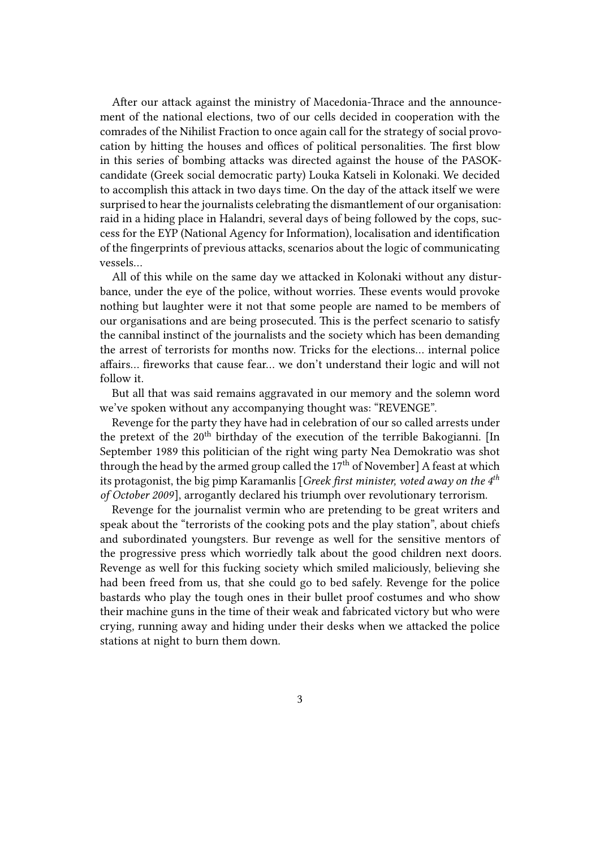After our attack against the ministry of Macedonia-Thrace and the announcement of the national elections, two of our cells decided in cooperation with the comrades of the Nihilist Fraction to once again call for the strategy of social provocation by hitting the houses and offices of political personalities. The first blow in this series of bombing attacks was directed against the house of the PASOKcandidate (Greek social democratic party) Louka Katseli in Kolonaki. We decided to accomplish this attack in two days time. On the day of the attack itself we were surprised to hear the journalists celebrating the dismantlement of our organisation: raid in a hiding place in Halandri, several days of being followed by the cops, success for the EYP (National Agency for Information), localisation and identification of the fingerprints of previous attacks, scenarios about the logic of communicating vessels…

All of this while on the same day we attacked in Kolonaki without any disturbance, under the eye of the police, without worries. These events would provoke nothing but laughter were it not that some people are named to be members of our organisations and are being prosecuted. This is the perfect scenario to satisfy the cannibal instinct of the journalists and the society which has been demanding the arrest of terrorists for months now. Tricks for the elections… internal police affairs… fireworks that cause fear… we don't understand their logic and will not follow it.

But all that was said remains aggravated in our memory and the solemn word we've spoken without any accompanying thought was: "REVENGE".

Revenge for the party they have had in celebration of our so called arrests under the pretext of the 20<sup>th</sup> birthday of the execution of the terrible Bakogianni. [In September 1989 this politician of the right wing party Nea Demokratio was shot through the head by the armed group called the 17<sup>th</sup> of November] A feast at which its protagonist, the big pimp Karamanlis [*Greek first minister, voted away on the 4th of October 2009*], arrogantly declared his triumph over revolutionary terrorism.

Revenge for the journalist vermin who are pretending to be great writers and speak about the "terrorists of the cooking pots and the play station", about chiefs and subordinated youngsters. Bur revenge as well for the sensitive mentors of the progressive press which worriedly talk about the good children next doors. Revenge as well for this fucking society which smiled maliciously, believing she had been freed from us, that she could go to bed safely. Revenge for the police bastards who play the tough ones in their bullet proof costumes and who show their machine guns in the time of their weak and fabricated victory but who were crying, running away and hiding under their desks when we attacked the police stations at night to burn them down.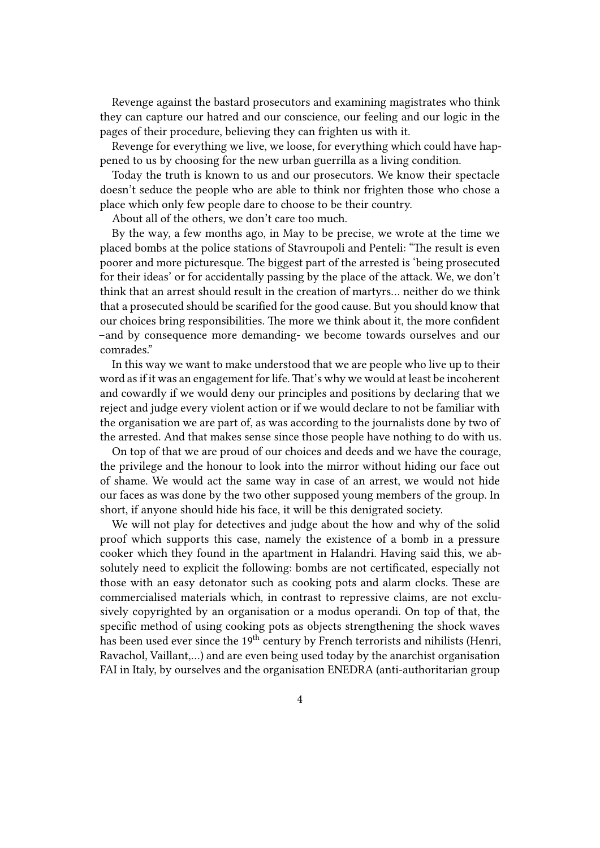Revenge against the bastard prosecutors and examining magistrates who think they can capture our hatred and our conscience, our feeling and our logic in the pages of their procedure, believing they can frighten us with it.

Revenge for everything we live, we loose, for everything which could have happened to us by choosing for the new urban guerrilla as a living condition.

Today the truth is known to us and our prosecutors. We know their spectacle doesn't seduce the people who are able to think nor frighten those who chose a place which only few people dare to choose to be their country.

About all of the others, we don't care too much.

By the way, a few months ago, in May to be precise, we wrote at the time we placed bombs at the police stations of Stavroupoli and Penteli: "The result is even poorer and more picturesque. The biggest part of the arrested is 'being prosecuted for their ideas' or for accidentally passing by the place of the attack. We, we don't think that an arrest should result in the creation of martyrs… neither do we think that a prosecuted should be scarified for the good cause. But you should know that our choices bring responsibilities. The more we think about it, the more confident –and by consequence more demanding- we become towards ourselves and our comrades."

In this way we want to make understood that we are people who live up to their word as if it was an engagement for life. That's why we would at least be incoherent and cowardly if we would deny our principles and positions by declaring that we reject and judge every violent action or if we would declare to not be familiar with the organisation we are part of, as was according to the journalists done by two of the arrested. And that makes sense since those people have nothing to do with us.

On top of that we are proud of our choices and deeds and we have the courage, the privilege and the honour to look into the mirror without hiding our face out of shame. We would act the same way in case of an arrest, we would not hide our faces as was done by the two other supposed young members of the group. In short, if anyone should hide his face, it will be this denigrated society.

We will not play for detectives and judge about the how and why of the solid proof which supports this case, namely the existence of a bomb in a pressure cooker which they found in the apartment in Halandri. Having said this, we absolutely need to explicit the following: bombs are not certificated, especially not those with an easy detonator such as cooking pots and alarm clocks. These are commercialised materials which, in contrast to repressive claims, are not exclusively copyrighted by an organisation or a modus operandi. On top of that, the specific method of using cooking pots as objects strengthening the shock waves has been used ever since the 19<sup>th</sup> century by French terrorists and nihilists (Henri, Ravachol, Vaillant,…) and are even being used today by the anarchist organisation FAI in Italy, by ourselves and the organisation ENEDRA (anti-authoritarian group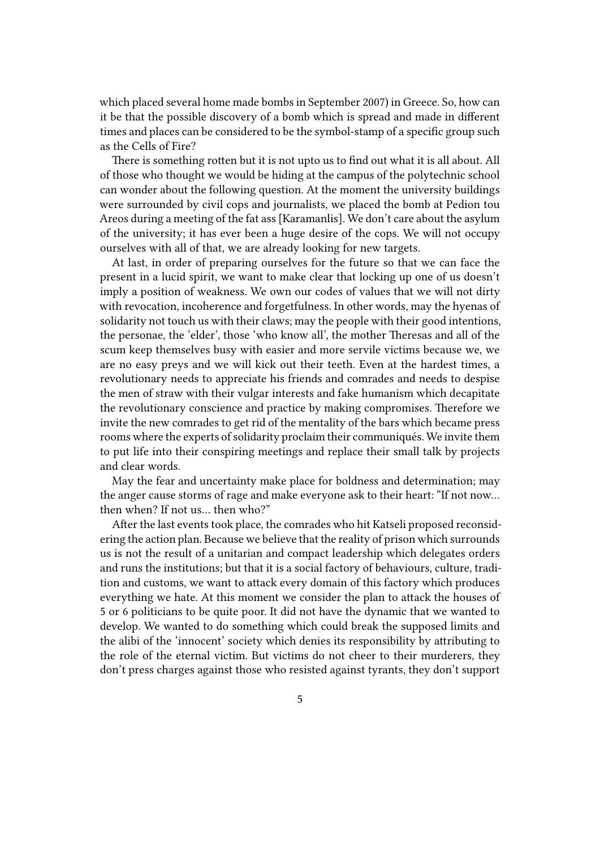which placed several home made bombs in September 2007) in Greece. So, how can it be that the possible discovery of a bomb which is spread and made in different times and places can be considered to be the symbol-stamp of a specific group such as the Cells of Fire?

There is something rotten but it is not upto us to find out what it is all about. All of those who thought we would be hiding at the campus of the polytechnic school can wonder about the following question. At the moment the university buildings were surrounded by civil cops and journalists, we placed the bomb at Pedion tou Areos during a meeting of the fat ass [Karamanlis]. We don't care about the asylum of the university; it has ever been a huge desire of the cops. We will not occupy ourselves with all of that, we are already looking for new targets.

At last, in order of preparing ourselves for the future so that we can face the present in a lucid spirit, we want to make clear that locking up one of us doesn't imply a position of weakness. We own our codes of values that we will not dirty with revocation, incoherence and forgetfulness. In other words, may the hyenas of solidarity not touch us with their claws; may the people with their good intentions, the personae, the 'elder', those 'who know all', the mother Theresas and all of the scum keep themselves busy with easier and more servile victims because we, we are no easy preys and we will kick out their teeth. Even at the hardest times, a revolutionary needs to appreciate his friends and comrades and needs to despise the men of straw with their vulgar interests and fake humanism which decapitate the revolutionary conscience and practice by making compromises. Therefore we invite the new comrades to get rid of the mentality of the bars which became press rooms where the experts of solidarity proclaim their communiqués. We invite them to put life into their conspiring meetings and replace their small talk by projects and clear words.

May the fear and uncertainty make place for boldness and determination; may the anger cause storms of rage and make everyone ask to their heart: "If not now… then when? If not us… then who?"

After the last events took place, the comrades who hit Katseli proposed reconsidering the action plan. Because we believe that the reality of prison which surrounds us is not the result of a unitarian and compact leadership which delegates orders and runs the institutions; but that it is a social factory of behaviours, culture, tradition and customs, we want to attack every domain of this factory which produces everything we hate. At this moment we consider the plan to attack the houses of 5 or 6 politicians to be quite poor. It did not have the dynamic that we wanted to develop. We wanted to do something which could break the supposed limits and the alibi of the 'innocent' society which denies its responsibility by attributing to the role of the eternal victim. But victims do not cheer to their murderers, they don't press charges against those who resisted against tyrants, they don't support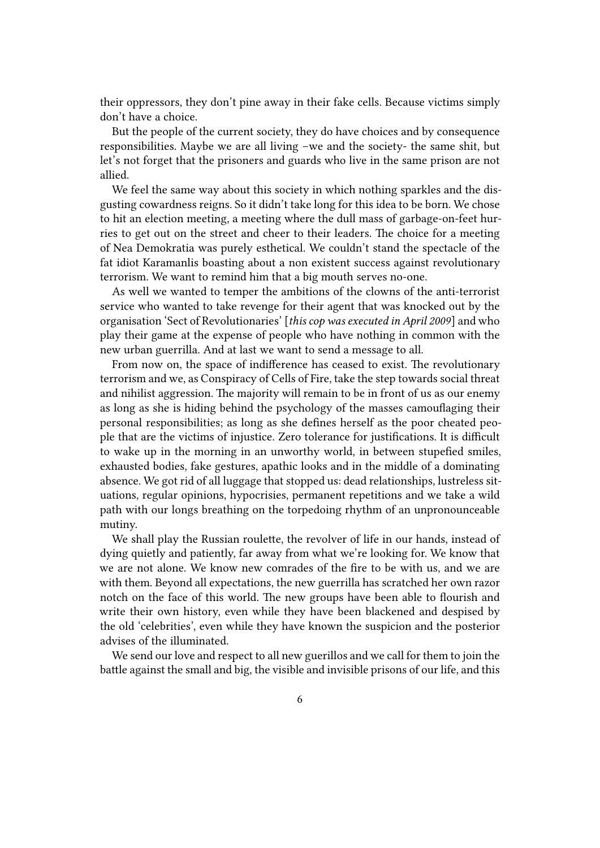their oppressors, they don't pine away in their fake cells. Because victims simply don't have a choice.

But the people of the current society, they do have choices and by consequence responsibilities. Maybe we are all living –we and the society- the same shit, but let's not forget that the prisoners and guards who live in the same prison are not allied.

We feel the same way about this society in which nothing sparkles and the disgusting cowardness reigns. So it didn't take long for this idea to be born. We chose to hit an election meeting, a meeting where the dull mass of garbage-on-feet hurries to get out on the street and cheer to their leaders. The choice for a meeting of Nea Demokratia was purely esthetical. We couldn't stand the spectacle of the fat idiot Karamanlis boasting about a non existent success against revolutionary terrorism. We want to remind him that a big mouth serves no-one.

As well we wanted to temper the ambitions of the clowns of the anti-terrorist service who wanted to take revenge for their agent that was knocked out by the organisation 'Sect of Revolutionaries' [*this cop was executed in April 2009*] and who play their game at the expense of people who have nothing in common with the new urban guerrilla. And at last we want to send a message to all.

From now on, the space of indifference has ceased to exist. The revolutionary terrorism and we, as Conspiracy of Cells of Fire, take the step towards social threat and nihilist aggression. The majority will remain to be in front of us as our enemy as long as she is hiding behind the psychology of the masses camouflaging their personal responsibilities; as long as she defines herself as the poor cheated people that are the victims of injustice. Zero tolerance for justifications. It is difficult to wake up in the morning in an unworthy world, in between stupefied smiles, exhausted bodies, fake gestures, apathic looks and in the middle of a dominating absence. We got rid of all luggage that stopped us: dead relationships, lustreless situations, regular opinions, hypocrisies, permanent repetitions and we take a wild path with our longs breathing on the torpedoing rhythm of an unpronounceable mutiny.

We shall play the Russian roulette, the revolver of life in our hands, instead of dying quietly and patiently, far away from what we're looking for. We know that we are not alone. We know new comrades of the fire to be with us, and we are with them. Beyond all expectations, the new guerrilla has scratched her own razor notch on the face of this world. The new groups have been able to flourish and write their own history, even while they have been blackened and despised by the old 'celebrities', even while they have known the suspicion and the posterior advises of the illuminated.

We send our love and respect to all new guerillos and we call for them to join the battle against the small and big, the visible and invisible prisons of our life, and this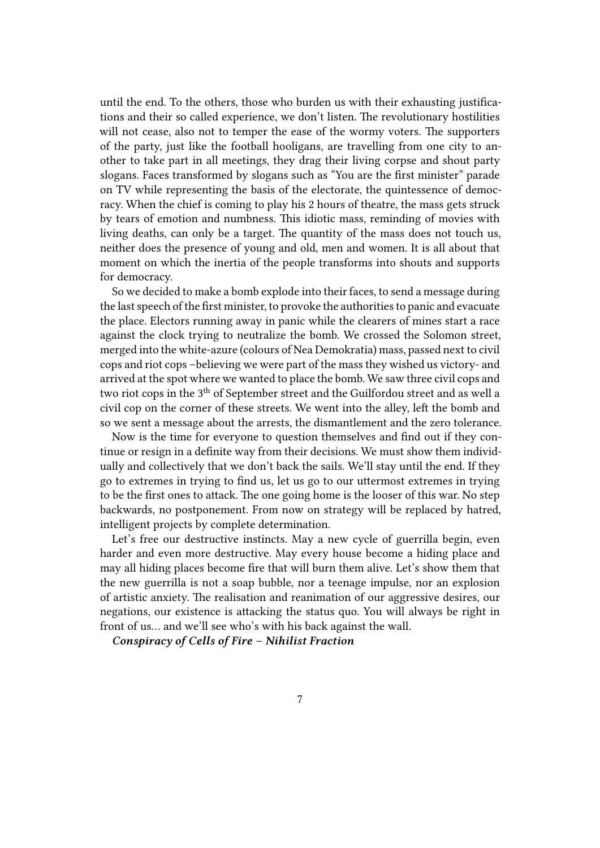until the end. To the others, those who burden us with their exhausting justifications and their so called experience, we don't listen. The revolutionary hostilities will not cease, also not to temper the ease of the wormy voters. The supporters of the party, just like the football hooligans, are travelling from one city to another to take part in all meetings, they drag their living corpse and shout party slogans. Faces transformed by slogans such as "You are the first minister" parade on TV while representing the basis of the electorate, the quintessence of democracy. When the chief is coming to play his 2 hours of theatre, the mass gets struck by tears of emotion and numbness. This idiotic mass, reminding of movies with living deaths, can only be a target. The quantity of the mass does not touch us, neither does the presence of young and old, men and women. It is all about that moment on which the inertia of the people transforms into shouts and supports for democracy.

So we decided to make a bomb explode into their faces, to send a message during the last speech of the first minister, to provoke the authorities to panic and evacuate the place. Electors running away in panic while the clearers of mines start a race against the clock trying to neutralize the bomb. We crossed the Solomon street, merged into the white-azure (colours of Nea Demokratia) mass, passed next to civil cops and riot cops –believing we were part of the mass they wished us victory- and arrived at the spot where we wanted to place the bomb. We saw three civil cops and two riot cops in the 3<sup>th</sup> of September street and the Guilfordou street and as well a civil cop on the corner of these streets. We went into the alley, left the bomb and so we sent a message about the arrests, the dismantlement and the zero tolerance.

Now is the time for everyone to question themselves and find out if they continue or resign in a definite way from their decisions. We must show them individually and collectively that we don't back the sails. We'll stay until the end. If they go to extremes in trying to find us, let us go to our uttermost extremes in trying to be the first ones to attack. The one going home is the looser of this war. No step backwards, no postponement. From now on strategy will be replaced by hatred, intelligent projects by complete determination.

Let's free our destructive instincts. May a new cycle of guerrilla begin, even harder and even more destructive. May every house become a hiding place and may all hiding places become fire that will burn them alive. Let's show them that the new guerrilla is not a soap bubble, nor a teenage impulse, nor an explosion of artistic anxiety. The realisation and reanimation of our aggressive desires, our negations, our existence is attacking the status quo. You will always be right in front of us… and we'll see who's with his back against the wall.

*Conspiracy of Cells of Fire – Nihilist Fraction*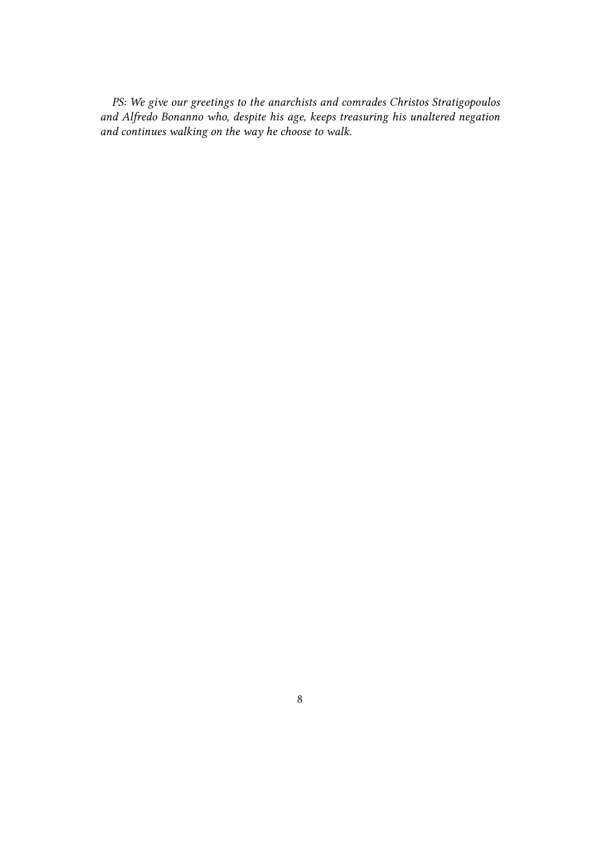*PS: We give our greetings to the anarchists and comrades Christos Stratigopoulos and Alfredo Bonanno who, despite his age, keeps treasuring his unaltered negation and continues walking on the way he choose to walk.*